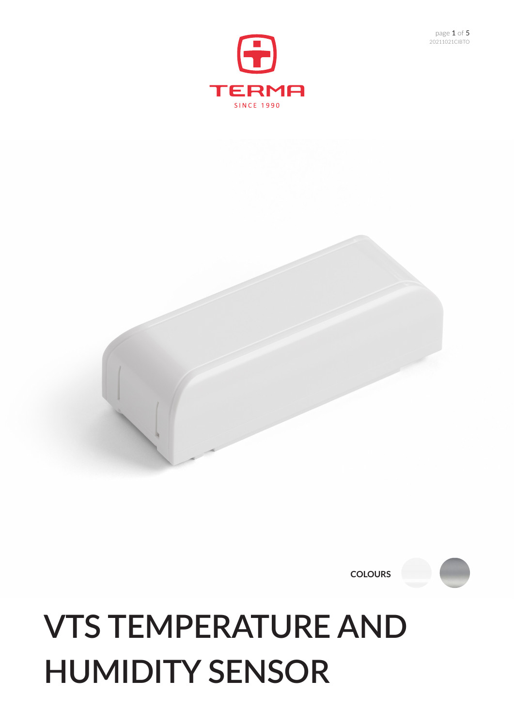## **VTS TEMPERATURE AND HUMIDITY SENSOR**

**COLOURS**





20211021CIBTO page 1 of 5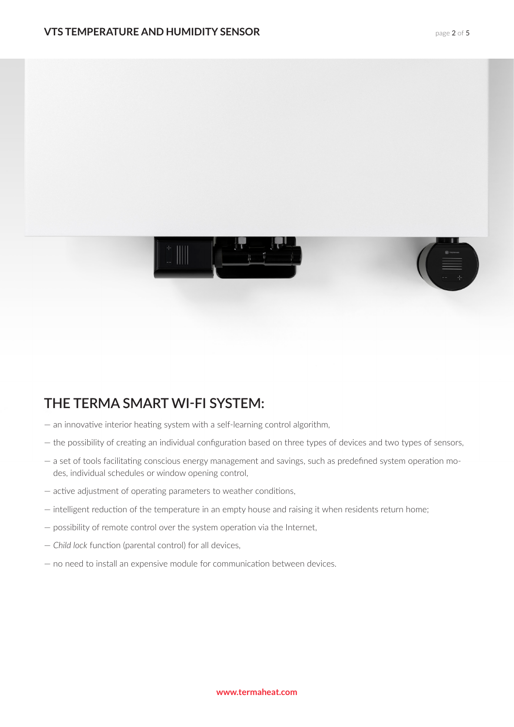

## **THE TERMA SMART WI-FI SYSTEM:**

- an innovative interior heating system with a self-learning control algorithm,
- the possibility of creating an individual configuration based on three types of devices and two types of sensors,
- a set of tools facilitating conscious energy management and savings, such as predefined system operation modes, individual schedules or window opening control,
- active adjustment of operating parameters to weather conditions,
- intelligent reduction of the temperature in an empty house and raising it when residents return home;
- possibility of remote control over the system operation via the Internet,
- *Child lock* function (parental control) for all devices,
- no need to install an expensive module for communication between devices.

#### **www.termaheat.com**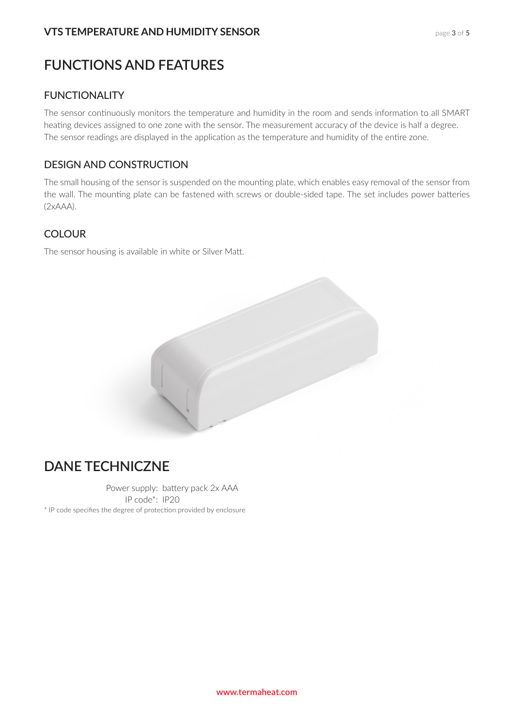#### page 3 of 5

## **FUNCTIONS AND FEATURES**

#### **FUNCTIONALITY**

The sensor continuously monitors the temperature and humidity in the room and sends information to all SMART heating devices assigned to one zone with the sensor. The measurement accuracy of the device is half a degree. The sensor readings are displayed in the application as the temperature and humidity of the entire zone.

#### DESIGN AND CONSTRUCTION

The small housing of the sensor is suspended on the mounting plate, which enables easy removal of the sensor from the wall. The mounting plate can be fastened with screws or double-sided tape. The set includes power batteries (2xAAA).

#### **COLOUR**

The sensor housing is available in white or Silver Matt.

## **DANE TECHNICZNE**

Power supply: battery pack 2x AAA IP code\*: IP20 \* IP code specifies the degree of protection provided by enclosure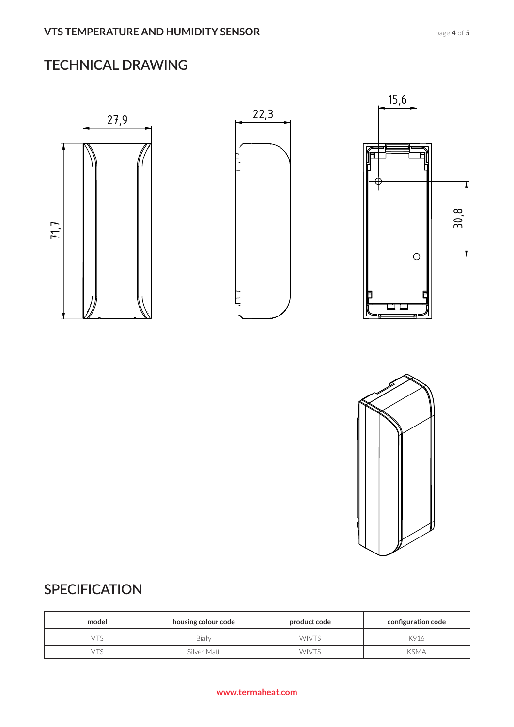## **TECHNICAL DRAWING**





## **SPECIFICATION**

| model | housing colour code | product code | configuration code |
|-------|---------------------|--------------|--------------------|
|       | Biały               | <b>WIVTS</b> | K916               |
|       | Silver Matt         | <b>WIVTS</b> | <b>KSMA</b>        |